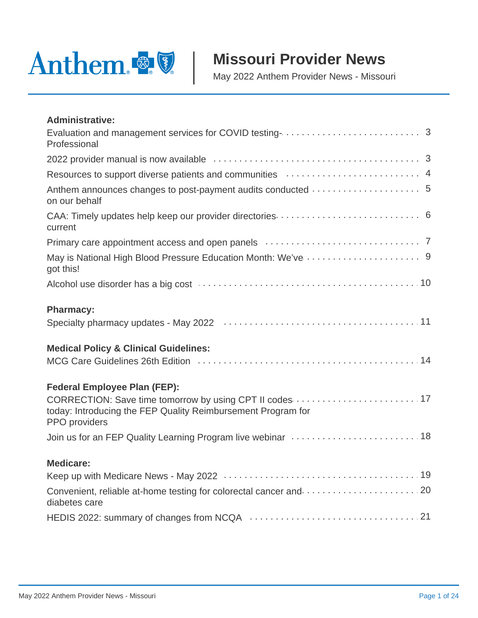

# **Missouri Provider News**

May 2022 Anthem Provider News - Missouri

| <b>Administrative:</b>                                                                                                                                                           |
|----------------------------------------------------------------------------------------------------------------------------------------------------------------------------------|
| Professional                                                                                                                                                                     |
|                                                                                                                                                                                  |
| Resources to support diverse patients and communities manufactured contracts and 4                                                                                               |
| on our behalf                                                                                                                                                                    |
| current                                                                                                                                                                          |
|                                                                                                                                                                                  |
| got this!                                                                                                                                                                        |
| Alcohol use disorder has a big cost manufactured and contain a state of 10                                                                                                       |
| <b>Pharmacy:</b>                                                                                                                                                                 |
| <b>Medical Policy &amp; Clinical Guidelines:</b>                                                                                                                                 |
| <b>Federal Employee Plan (FEP):</b><br>CORRECTION: Save time tomorrow by using CPT II codes  17<br>today: Introducing the FEP Quality Reimbursement Program for<br>PPO providers |
| Join us for an FEP Quality Learning Program live webinar mass and contain a state 18                                                                                             |
| <b>Medicare:</b>                                                                                                                                                                 |
| Convenient, reliable at-home testing for colorectal cancer and  20<br>diabetes care                                                                                              |
|                                                                                                                                                                                  |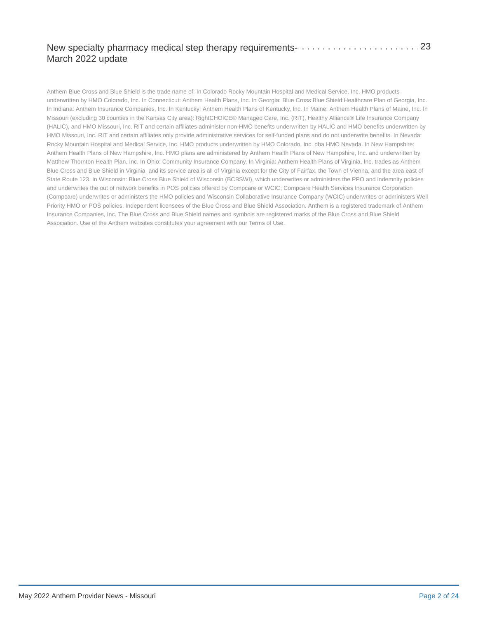#### [. . . . . . . . . . . . . . . . . . . . . . . . . . . . . . . . . . . . . . . . . . . . . . . . . . . .](#page-22-0) . . . . . . . . . . . . . . . . . . . . New specialty pharmacy medical step therapy requirements-[23](#page-22-0)March 2022 update

Anthem Blue Cross and Blue Shield is the trade name of: In Colorado Rocky Mountain Hospital and Medical Service, Inc. HMO products underwritten by HMO Colorado, Inc. In Connecticut: Anthem Health Plans, Inc. In Georgia: Blue Cross Blue Shield Healthcare Plan of Georgia, Inc. In Indiana: Anthem Insurance Companies, Inc. In Kentucky: Anthem Health Plans of Kentucky, Inc. In Maine: Anthem Health Plans of Maine, Inc. In Missouri (excluding 30 counties in the Kansas City area): RightCHOICE® Managed Care, Inc. (RIT), Healthy Alliance® Life Insurance Company (HALIC), and HMO Missouri, Inc. RIT and certain affiliates administer non-HMO benefits underwritten by HALIC and HMO benefits underwritten by HMO Missouri, Inc. RIT and certain affiliates only provide administrative services for self-funded plans and do not underwrite benefits. In Nevada: Rocky Mountain Hospital and Medical Service, Inc. HMO products underwritten by HMO Colorado, Inc. dba HMO Nevada. In New Hampshire: Anthem Health Plans of New Hampshire, Inc. HMO plans are administered by Anthem Health Plans of New Hampshire, Inc. and underwritten by Matthew Thornton Health Plan, Inc. In Ohio: Community Insurance Company. In Virginia: Anthem Health Plans of Virginia, Inc. trades as Anthem Blue Cross and Blue Shield in Virginia, and its service area is all of Virginia except for the City of Fairfax, the Town of Vienna, and the area east of State Route 123. In Wisconsin: Blue Cross Blue Shield of Wisconsin (BCBSWI), which underwrites or administers the PPO and indemnity policies and underwrites the out of network benefits in POS policies offered by Compcare or WCIC; Compcare Health Services Insurance Corporation (Compcare) underwrites or administers the HMO policies and Wisconsin Collaborative Insurance Company (WCIC) underwrites or administers Well Priority HMO or POS policies. Independent licensees of the Blue Cross and Blue Shield Association. Anthem is a registered trademark of Anthem Insurance Companies, Inc. The Blue Cross and Blue Shield names and symbols are registered marks of the Blue Cross and Blue Shield Association. Use of the Anthem websites constitutes your agreement with our Terms of Use.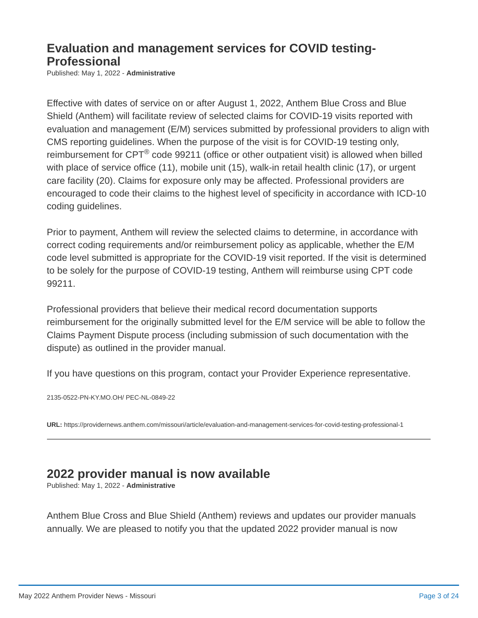### <span id="page-2-0"></span>**Evaluation and management services for COVID testing-Professional**

Published: May 1, 2022 - **Administrative**

Effective with dates of service on or after August 1, 2022, Anthem Blue Cross and Blue Shield (Anthem) will facilitate review of selected claims for COVID-19 visits reported with evaluation and management (E/M) services submitted by professional providers to align with CMS reporting guidelines. When the purpose of the visit is for COVID-19 testing only, reimbursement for CPT $^{\circledR}$  code 99211 (office or other outpatient visit) is allowed when billed with place of service office (11), mobile unit (15), walk-in retail health clinic (17), or urgent care facility (20). Claims for exposure only may be affected. Professional providers are encouraged to code their claims to the highest level of specificity in accordance with ICD-10 coding guidelines.

Prior to payment, Anthem will review the selected claims to determine, in accordance with correct coding requirements and/or reimbursement policy as applicable, whether the E/M code level submitted is appropriate for the COVID-19 visit reported. If the visit is determined to be solely for the purpose of COVID-19 testing, Anthem will reimburse using CPT code 99211.

Professional providers that believe their medical record documentation supports reimbursement for the originally submitted level for the E/M service will be able to follow the Claims Payment Dispute process (including submission of such documentation with the dispute) as outlined in the provider manual.

If you have questions on this program, contact your Provider Experience representative.

2135-0522-PN-KY.MO.OH/ PEC-NL-0849-22

**URL:** <https://providernews.anthem.com/missouri/article/evaluation-and-management-services-for-covid-testing-professional-1>

### **2022 provider manual is now available**

Published: May 1, 2022 - **Administrative**

Anthem Blue Cross and Blue Shield (Anthem) reviews and updates our provider manuals annually. We are pleased to notify you that the updated 2022 provider manual is now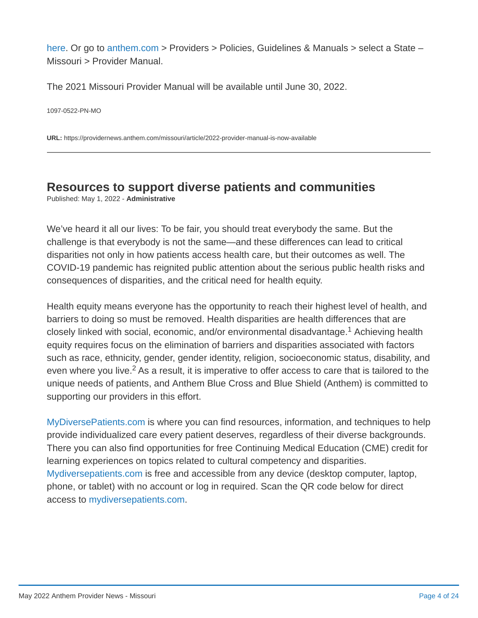[here](https://www.anthem.com/provider/policies/manuals/?cnslocale=en_US_mo). Or go to [anthem.com](http://www.anthem.com/) > Providers > Policies, Guidelines & Manuals > select a State – Missouri > Provider Manual.

The 2021 Missouri Provider Manual will be available until June 30, 2022.

1097-0522-PN-MO

**URL:** <https://providernews.anthem.com/missouri/article/2022-provider-manual-is-now-available>

## <span id="page-3-0"></span>**Resources to support diverse patients and communities**

Published: May 1, 2022 - **Administrative**

We've heard it all our lives: To be fair, you should treat everybody the same. But the challenge is that everybody is not the same—and these differences can lead to critical disparities not only in how patients access health care, but their outcomes as well. The COVID-19 pandemic has reignited public attention about the serious public health risks and consequences of disparities, and the critical need for health equity.

Health equity means everyone has the opportunity to reach their highest level of health, and barriers to doing so must be removed. Health disparities are health differences that are closely linked with social, economic, and/or environmental disadvantage. $1$  Achieving health equity requires focus on the elimination of barriers and disparities associated with factors such as race, ethnicity, gender, gender identity, religion, socioeconomic status, disability, and even where you live.<sup>2</sup> As a result, it is imperative to offer access to care that is tailored to the unique needs of patients, and Anthem Blue Cross and Blue Shield (Anthem) is committed to supporting our providers in this effort.

[MyDiversePatients.com](https://mydiversepatients.com/) is where you can find resources, information, and techniques to help provide individualized care every patient deserves, regardless of their diverse backgrounds. There you can also find opportunities for free Continuing Medical Education (CME) credit for learning experiences on topics related to cultural competency and disparities. [Mydiversepatients.com](http://www.mydiversepatients.com/) is free and accessible from any device (desktop computer, laptop, phone, or tablet) with no account or log in required. Scan the QR code below for direct access to [mydiversepatients.com.](http://www.mydiversepatients.com/)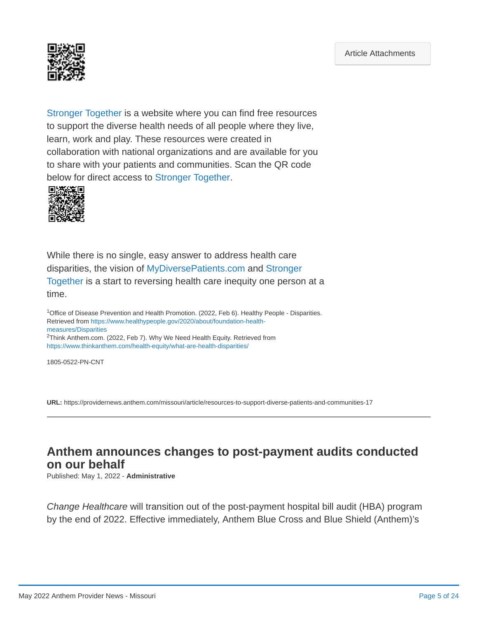<span id="page-4-0"></span>

[Stronger Together](https://communityresources.anthem.com/) is a website where you can find free resources to support the diverse health needs of all people where they live, learn, work and play. These resources were created in collaboration with national organizations and are available for you to share with your patients and communities. Scan the QR code below for direct access to [Stronger Together.](https://communityresources.anthem.com/)



While there is no single, easy answer to address health care disparities, the vision of [MyDiversePatients.com](https://mydiversepatients.com/) and Stronger [Together is a start to reversing health care inequity one person](https://communityresources.anthem.com/) at a time.

<sup>1</sup>Office of Disease Prevention and Health Promotion. (2022, Feb 6). Healthy People - Disparities. [Retrieved from https://www.healthypeople.gov/2020/about/foundation-health](https://www.healthypeople.gov/2020/about/foundation-health-measures/Disparities)measures/Disparities <sup>2</sup>Think Anthem.com. (2022, Feb 7). Why We Need Health Equity. Retrieved from <https://www.thinkanthem.com/health-equity/what-are-health-disparities/>

1805-0522-PN-CNT

**URL:** <https://providernews.anthem.com/missouri/article/resources-to-support-diverse-patients-and-communities-17>

### **Anthem announces changes to post-payment audits conducted on our behalf**

Published: May 1, 2022 - **Administrative**

*Change Healthcare* will transition out of the post-payment hospital bill audit (HBA) program by the end of 2022. Effective immediately, Anthem Blue Cross and Blue Shield (Anthem)'s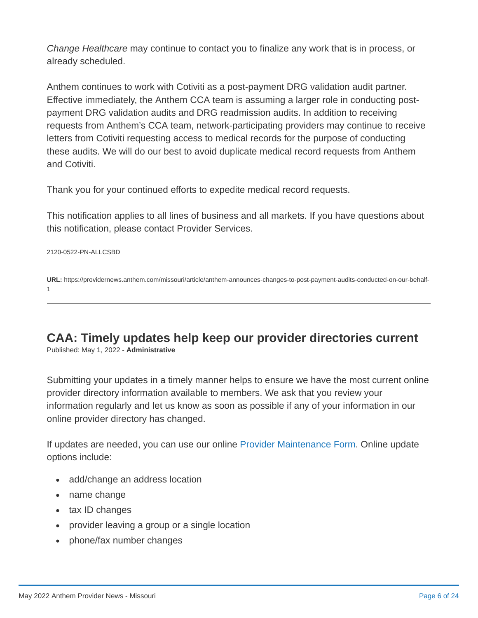<span id="page-5-0"></span>*Change Healthcare* may continue to contact you to finalize any work that is in process, or already scheduled.

Anthem continues to work with Cotiviti as a post-payment DRG validation audit partner. Effective immediately, the Anthem CCA team is assuming a larger role in conducting postpayment DRG validation audits and DRG readmission audits. In addition to receiving requests from Anthem's CCA team, network-participating providers may continue to receive letters from Cotiviti requesting access to medical records for the purpose of conducting these audits. We will do our best to avoid duplicate medical record requests from Anthem and Cotiviti.

Thank you for your continued efforts to expedite medical record requests.

This notification applies to all lines of business and all markets. If you have questions about this notification, please contact Provider Services.

#### 2120-0522-PN-ALLCSBD

**URL:** [https://providernews.anthem.com/missouri/article/anthem-announces-changes-to-post-payment-audits-conducted-on-our-behalf-](https://providernews.anthem.com/missouri/article/anthem-announces-changes-to-post-payment-audits-conducted-on-our-behalf-1)1

## **CAA: Timely updates help keep our provider directories current**

Published: May 1, 2022 - **Administrative**

Submitting your updates in a timely manner helps to ensure we have the most current online provider directory information available to members. We ask that you review your information regularly and let us know as soon as possible if any of your information in our online provider directory has changed.

If updates are needed, you can use our online [Provider Maintenance Form](https://www.anthem.com/provider/provider-maintenance-form/). Online update options include:

- add/change an address location
- name change
- tax ID changes
- provider leaving a group or a single location
- phone/fax number changes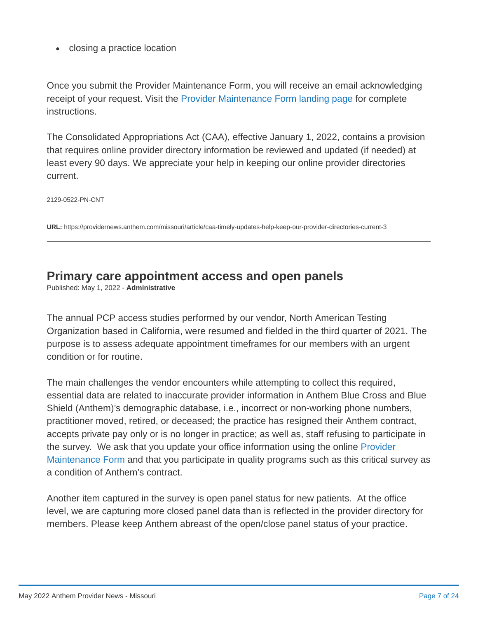• closing a practice location

Once you submit the Provider Maintenance Form, you will receive an email acknowledging receipt of your request. Visit the [Provider Maintenance Form landing page](https://www.anthem.com/ca/provider/provider-maintenance-form/) for complete instructions.

The Consolidated Appropriations Act (CAA), effective January 1, 2022, contains a provision that requires online provider directory information be reviewed and updated (if needed) at least every 90 days. We appreciate your help in keeping our online provider directories current.

2129-0522-PN-CNT

**URL:** <https://providernews.anthem.com/missouri/article/caa-timely-updates-help-keep-our-provider-directories-current-3>

### <span id="page-6-0"></span>**Primary care appointment access and open panels**

Published: May 1, 2022 - **Administrative**

The annual PCP access studies performed by our vendor, North American Testing Organization based in California, were resumed and fielded in the third quarter of 2021. The purpose is to assess adequate appointment timeframes for our members with an urgent condition or for routine.

The main challenges the vendor encounters while attempting to collect this required, essential data are related to inaccurate provider information in Anthem Blue Cross and Blue Shield (Anthem)'s demographic database, i.e., incorrect or non-working phone numbers, practitioner moved, retired, or deceased; the practice has resigned their Anthem contract, accepts private pay only or is no longer in practice; as well as, staff refusing to participate in the survey. We ask that you update your office information using the online Provider [Maintenance Form and that you participate in quality programs such as this critical su](https://www.anthem.com/provider/provider-maintenance-form/)rvey as a condition of Anthem's contract.

Another item captured in the survey is open panel status for new patients. At the office level, we are capturing more closed panel data than is reflected in the provider directory for members. Please keep Anthem abreast of the open/close panel status of your practice.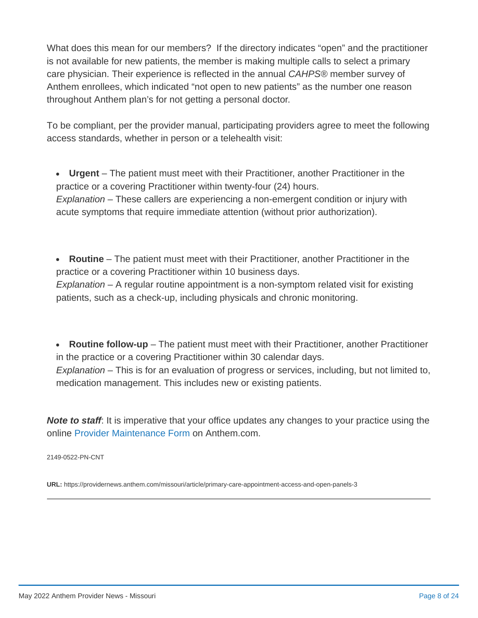What does this mean for our members? If the directory indicates "open" and the practitioner is not available for new patients, the member is making multiple calls to select a primary care physician. Their experience is reflected in the annual *CAHPS®* member survey of Anthem enrollees, which indicated "not open to new patients" as the number one reason throughout Anthem plan's for not getting a personal doctor.

To be compliant, per the provider manual, participating providers agree to meet the following access standards, whether in person or a telehealth visit:

**Urgent** – The patient must meet with their Practitioner, another Practitioner in the practice or a covering Practitioner within twenty-four (24) hours. *Explanation* – These callers are experiencing a non-emergent condition or injury with acute symptoms that require immediate attention (without prior authorization).

**Routine** – The patient must meet with their Practitioner, another Practitioner in the practice or a covering Practitioner within 10 business days. *Explanation* – A regular routine appointment is a non-symptom related visit for existing patients, such as a check-up, including physicals and chronic monitoring.

 $\bullet$ **Routine follow-up** – The patient must meet with their Practitioner, another Practitioner in the practice or a covering Practitioner within 30 calendar days. *Explanation* – This is for an evaluation of progress or services, including, but not limited to, medication management. This includes new or existing patients.

**Note to staff**: It is imperative that your office updates any changes to your practice using the online [Provider Maintenance Form](https://www.anthem.com/provider/provider-maintenance-form/) on Anthem.com.

2149-0522-PN-CNT

**URL:** <https://providernews.anthem.com/missouri/article/primary-care-appointment-access-and-open-panels-3>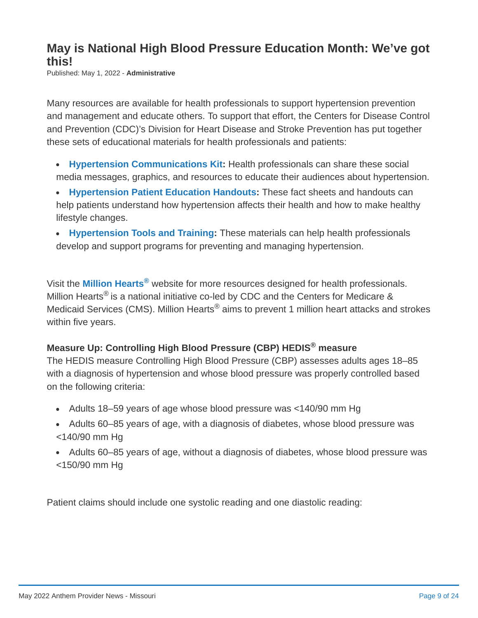### <span id="page-8-0"></span>**May is National High Blood Pressure Education Month: We've got this!**

Published: May 1, 2022 - **Administrative**

Many resources are available for health professionals to support hypertension prevention and management and educate others. To support that effort, the Centers for Disease Control and Prevention (CDC)'s Division for Heart Disease and Stroke Prevention has put together these sets of educational materials for health professionals and patients:

- **[Hypertension Communications Kit](https://www.cdc.gov/bloodpressure/communications_kit.htm):** Health professionals can share these social media messages, graphics, and resources to educate their audiences about hypertension.
- **[Hypertension Patient Education Handouts](https://www.cdc.gov/bloodpressure/materials_for_patients.htm):** These fact sheets and handouts can help patients understand how hypertension affects their health and how to make healthy lifestyle changes.
- **[Hypertension Tools and Training](https://www.cdc.gov/bloodpressure/materials_for_professionals.htm):** These materials can help health professionals develop and support programs for preventing and managing hypertension.

Visit the **[Million Hearts](https://millionhearts.hhs.gov/about-million-hearts/index.html)<sup>®</sup> website for more resources designed for health professionals.** Million Hearts® is a national initiative co-led by CDC and the Centers for Medicare & Medicaid Services (CMS). Million Hearts $^\circledast$  aims to prevent 1 million heart attacks and strokes within five years.

### **Measure Up: Controlling High Blood Pressure (CBP) HEDIS measure ®**

The HEDIS measure Controlling High Blood Pressure (CBP) assesses adults ages 18–85 with a diagnosis of hypertension and whose blood pressure was properly controlled based on the following criteria:

- Adults 18–59 years of age whose blood pressure was <140/90 mm Hg
- Adults 60–85 years of age, with a diagnosis of diabetes, whose blood pressure was <140/90 mm Hg
- Adults 60–85 years of age, without a diagnosis of diabetes, whose blood pressure was <150/90 mm Hg

Patient claims should include one systolic reading and one diastolic reading: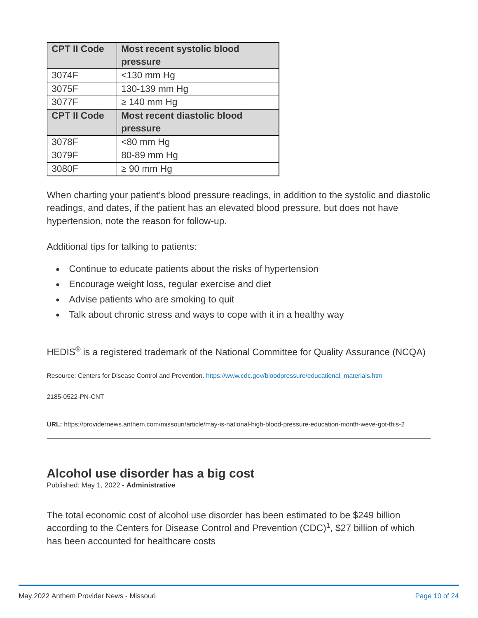| <b>CPT II Code</b> | <b>Most recent systolic blood</b>  |
|--------------------|------------------------------------|
|                    | pressure                           |
| 3074F              | $<$ 130 mm Hg                      |
| 3075F              | 130-139 mm Hg                      |
| 3077F              | $\geq$ 140 mm Hq                   |
|                    |                                    |
| <b>CPT II Code</b> | <b>Most recent diastolic blood</b> |
|                    | pressure                           |
| 3078F              | $80$ mm Hq                         |
| 3079F              | 80-89 mm Hg                        |

When charting your patient's blood pressure readings, in addition to the systolic and diastolic readings, and dates, if the patient has an elevated blood pressure, but does not have hypertension, note the reason for follow-up.

Additional tips for talking to patients:

- Continue to educate patients about the risks of hypertension
- Encourage weight loss, regular exercise and diet
- Advise patients who are smoking to quit
- Talk about chronic stress and ways to cope with it in a healthy way

HEDIS $^\circledR$  is a registered trademark of the National Committee for Quality Assurance (NCQA)

Resource: Centers for Disease Control and Prevention. [https://www.cdc.gov/bloodpressure/educational\\_materials.htm](https://www.cdc.gov/bloodpressure/educational_materials.htm)

2185-0522-PN-CNT

**URL:** <https://providernews.anthem.com/missouri/article/may-is-national-high-blood-pressure-education-month-weve-got-this-2>

### <span id="page-9-0"></span>**Alcohol use disorder has a big cost**

Published: May 1, 2022 - **Administrative**

The total economic cost of alcohol use disorder has been estimated to be \$249 billion according to the Centers for Disease Control and Prevention (CDC) $^1$ , \$27 billion of which has been accounted for healthcare costs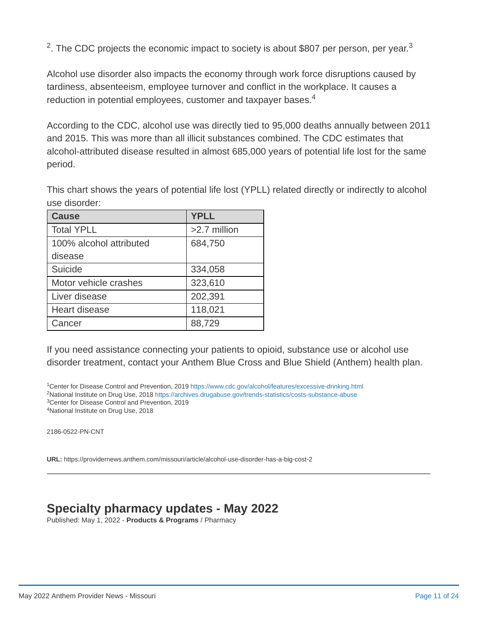<sup>2</sup>. The CDC projects the economic impact to society is about \$807 per person, per year.<sup>3</sup>

Alcohol use disorder also impacts the economy through work force disruptions caused by tardiness, absenteeism, employee turnover and conflict in the workplace. It causes a reduction in potential employees, customer and taxpayer bases. 4

According to the CDC, alcohol use was directly tied to 95,000 deaths annually between 2011 and 2015. This was more than all illicit substances combined. The CDC estimates that alcohol-attributed disease resulted in almost 685,000 years of potential life lost for the same period.

This chart shows the years of potential life lost (YPLL) related directly or indirectly to alcohol use disorder:

| <b>Cause</b>            | <b>YPLL</b>  |
|-------------------------|--------------|
| <b>Total YPLL</b>       | >2.7 million |
| 100% alcohol attributed | 684,750      |
| disease                 |              |
| Suicide                 | 334,058      |
| Motor vehicle crashes   | 323,610      |
| Liver disease           | 202,391      |
| <b>Heart disease</b>    | 118,021      |
| Cancer                  | 88,729       |

If you need assistance connecting your patients to opioid, substance use or alcohol use disorder treatment, contact your Anthem Blue Cross and Blue Shield (Anthem) health plan.

<sup>1</sup>Center for Disease Control and Prevention, 2019 <https://www.cdc.gov/alcohol/features/excessive-drinking.html> <sup>2</sup>National Institute on Drug Use, 2018 <https://archives.drugabuse.gov/trends-statistics/costs-substance-abuse> <sup>3</sup>Center for Disease Control and Prevention, 2019 <sup>4</sup>National Institute on Drug Use, 2018

2186-0522-PN-CNT

**URL:** <https://providernews.anthem.com/missouri/article/alcohol-use-disorder-has-a-big-cost-2>

### <span id="page-10-0"></span>**Specialty pharmacy updates - May 2022**

Published: May 1, 2022 - **Products & Programs** / Pharmacy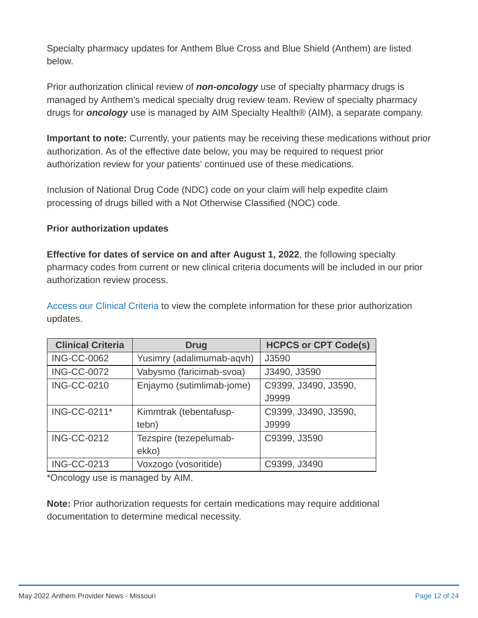Specialty pharmacy updates for Anthem Blue Cross and Blue Shield (Anthem) are listed below.

Prior authorization clinical review of *non-oncology* use of specialty pharmacy drugs is managed by Anthem's medical specialty drug review team. Review of specialty pharmacy drugs for *oncology* use is managed by AIM Specialty Health® (AIM), a separate company.

**Important to note:** Currently, your patients may be receiving these medications without prior authorization. As of the effective date below, you may be required to request prior authorization review for your patients' continued use of these medications.

Inclusion of National Drug Code (NDC) code on your claim will help expedite claim processing of drugs billed with a Not Otherwise Classified (NOC) code.

#### **Prior authorization updates**

**Effective for dates of service on and after August 1, 2022**, the following specialty pharmacy codes from current or new clinical criteria documents will be included in our prior authorization review process.

[Access our Clinical Criteria](https://www.anthem.com/ms/pharmacyinformation/clinicalcriteria.html) to view the complete information for these prior authorization updates.

| <b>Clinical Criteria</b> | <b>Drug</b>               | <b>HCPCS or CPT Code(s)</b> |
|--------------------------|---------------------------|-----------------------------|
| <b>ING-CC-0062</b>       | Yusimry (adalimumab-aqvh) | J3590                       |
| <b>ING-CC-0072</b>       | Vabysmo (faricimab-svoa)  | J3490, J3590                |
| <b>ING-CC-0210</b>       | Enjaymo (sutimlimab-jome) | C9399, J3490, J3590,        |
|                          |                           | J9999                       |
| ING-CC-0211*             | Kimmtrak (tebentafusp-    | C9399, J3490, J3590,        |
|                          | tebn)                     | J9999                       |
| <b>ING-CC-0212</b>       | Tezspire (tezepelumab-    | C9399, J3590                |
|                          | ekko)                     |                             |
| <b>ING-CC-0213</b>       | Voxzogo (vosoritide)      | C9399, J3490                |

\*Oncology use is managed by AIM.

**Note:** Prior authorization requests for certain medications may require additional documentation to determine medical necessity.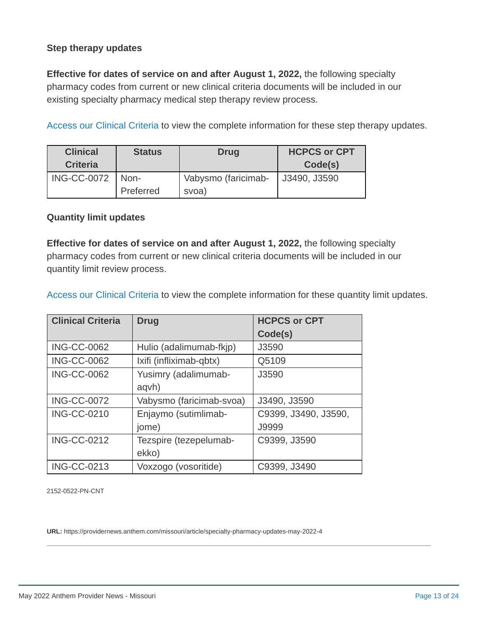#### **Step therapy updates**

**Effective for dates of service on and after August 1, 2022,** the following specialty pharmacy codes from current or new clinical criteria documents will be included in our existing specialty pharmacy medical step therapy review process.

[Access our Clinical Criteria](https://www.anthem.com/ms/pharmacyinformation/clinicalcriteria.html) to view the complete information for these step therapy updates.

| <b>Clinical</b>    | <b>Status</b> | <b>Drug</b>         | <b>HCPCS or CPT</b> |
|--------------------|---------------|---------------------|---------------------|
| <b>Criteria</b>    |               |                     | Code(s)             |
| <b>ING-CC-0072</b> | Non-          | Vabysmo (faricimab- | J3490, J3590        |
|                    | Preferred     | svoa)               |                     |

#### **Quantity limit updates**

**Effective for dates of service on and after August 1, 2022,** the following specialty pharmacy codes from current or new clinical criteria documents will be included in our quantity limit review process.

[Access our Clinical Criteria](https://www.anthem.com/ms/pharmacyinformation/clinicalcriteria.html) to view the complete information for these quantity limit updates.

| <b>Clinical Criteria</b> | <b>Drug</b>              | <b>HCPCS or CPT</b>  |
|--------------------------|--------------------------|----------------------|
|                          |                          | Code(s)              |
| <b>ING-CC-0062</b>       | Hulio (adalimumab-fkjp)  | J3590                |
| <b>ING-CC-0062</b>       | Ixifi (infliximab-qbtx)  | Q5109                |
| <b>ING-CC-0062</b>       | Yusimry (adalimumab-     | J3590                |
|                          | aqvh)                    |                      |
| <b>ING-CC-0072</b>       | Vabysmo (faricimab-svoa) | J3490, J3590         |
| <b>ING-CC-0210</b>       | Enjaymo (sutimlimab-     | C9399, J3490, J3590, |
|                          | jome)                    | J9999                |
| <b>ING-CC-0212</b>       | Tezspire (tezepelumab-   | C9399, J3590         |
|                          | ekko)                    |                      |
| <b>ING-CC-0213</b>       | Voxzogo (vosoritide)     | C9399, J3490         |

2152-0522-PN-CNT

**URL:** <https://providernews.anthem.com/missouri/article/specialty-pharmacy-updates-may-2022-4>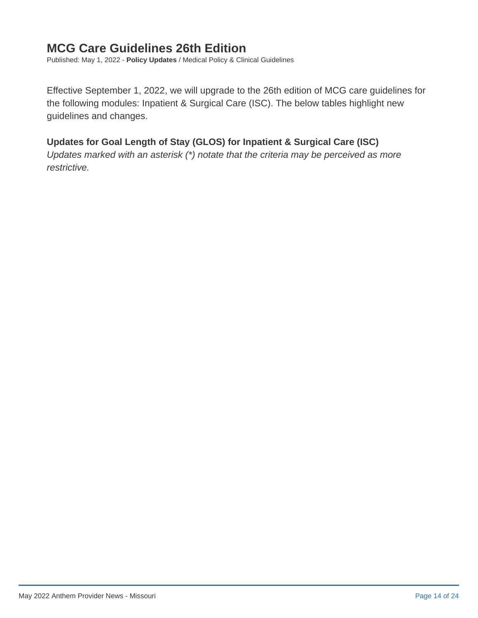### <span id="page-13-0"></span>**MCG Care Guidelines 26th Edition**

Published: May 1, 2022 - **Policy Updates** / Medical Policy & Clinical Guidelines

Effective September 1, 2022, we will upgrade to the 26th edition of MCG care guidelines for the following modules: Inpatient & Surgical Care (ISC). The below tables highlight new guidelines and changes.

#### **Updates for Goal Length of Stay (GLOS) for Inpatient & Surgical Care (ISC)**

*Updates marked with an asterisk (\*) notate that the criteria may be perceived as more restrictive.*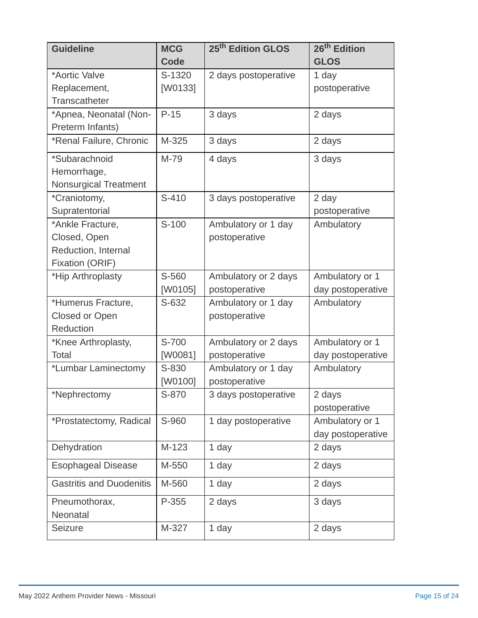| <b>Guideline</b>                | <b>MCG</b>  | 25 <sup>th</sup> Edition GLOS | 26 <sup>th</sup> Edition |
|---------------------------------|-------------|-------------------------------|--------------------------|
|                                 | <b>Code</b> |                               | <b>GLOS</b>              |
| *Aortic Valve                   | S-1320      | 2 days postoperative          | 1 day                    |
| Replacement,                    | [W0133]     |                               | postoperative            |
| Transcatheter                   |             |                               |                          |
| *Apnea, Neonatal (Non-          | $P-15$      | 3 days                        | 2 days                   |
| Preterm Infants)                |             |                               |                          |
| *Renal Failure, Chronic         | M-325       | 3 days                        | 2 days                   |
| *Subarachnoid                   | M-79        | 4 days                        | 3 days                   |
| Hemorrhage,                     |             |                               |                          |
| Nonsurgical Treatment           |             |                               |                          |
| *Craniotomy,                    | $S-410$     | 3 days postoperative          | 2 day                    |
| Supratentorial                  |             |                               | postoperative            |
| *Ankle Fracture,                | $S-100$     | Ambulatory or 1 day           | Ambulatory               |
| Closed, Open                    |             | postoperative                 |                          |
| Reduction, Internal             |             |                               |                          |
| Fixation (ORIF)                 |             |                               |                          |
| *Hip Arthroplasty               | S-560       | Ambulatory or 2 days          | Ambulatory or 1          |
|                                 | [W0105]     | postoperative                 | day postoperative        |
| *Humerus Fracture,              | S-632       | Ambulatory or 1 day           | Ambulatory               |
| Closed or Open                  |             | postoperative                 |                          |
| Reduction                       |             |                               |                          |
| *Knee Arthroplasty,             | S-700       | Ambulatory or 2 days          | Ambulatory or 1          |
| Total                           | [W0081]     | postoperative                 | day postoperative        |
| *Lumbar Laminectomy             | S-830       | Ambulatory or 1 day           | Ambulatory               |
|                                 | [W0100]     | postoperative                 |                          |
| *Nephrectomy                    | S-870       | 3 days postoperative          | 2 days                   |
|                                 |             |                               | postoperative            |
| *Prostatectomy, Radical         | S-960       | 1 day postoperative           | Ambulatory or 1          |
|                                 |             |                               | day postoperative        |
| Dehydration                     | $M-123$     | 1 day                         | 2 days                   |
| <b>Esophageal Disease</b>       | M-550       | 1 day                         | 2 days                   |
| <b>Gastritis and Duodenitis</b> | M-560       | 1 day                         | 2 days                   |
| Pneumothorax,                   | P-355       | 2 days                        | 3 days                   |
| Neonatal                        |             |                               |                          |
| Seizure                         | M-327       | 1 day                         | 2 days                   |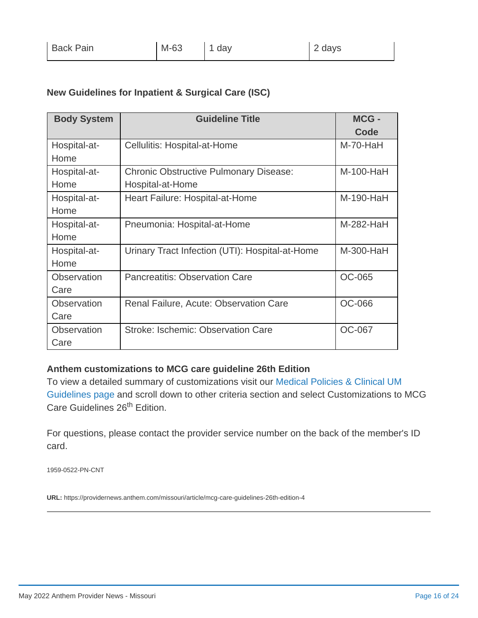#### **New Guidelines for Inpatient & Surgical Care (ISC)**

| <b>Body System</b> | <b>Guideline Title</b>                          | MCG -<br>Code |
|--------------------|-------------------------------------------------|---------------|
| Hospital-at-       | Cellulitis: Hospital-at-Home                    | $M-70-HaH$    |
| Home               |                                                 |               |
| Hospital-at-       | <b>Chronic Obstructive Pulmonary Disease:</b>   | $M-100-HaH$   |
| Home               | Hospital-at-Home                                |               |
| Hospital-at-       | Heart Failure: Hospital-at-Home                 | M-190-HaH     |
| Home               |                                                 |               |
| Hospital-at-       | Pneumonia: Hospital-at-Home                     | M-282-HaH     |
| Home               |                                                 |               |
| Hospital-at-       | Urinary Tract Infection (UTI): Hospital-at-Home | M-300-HaH     |
| Home               |                                                 |               |
| <b>Observation</b> | <b>Pancreatitis: Observation Care</b>           | <b>OC-065</b> |
| Care               |                                                 |               |
| <b>Observation</b> | Renal Failure, Acute: Observation Care          | <b>OC-066</b> |
| Care               |                                                 |               |
| <b>Observation</b> | Stroke: Ischemic: Observation Care              | <b>OC-067</b> |
| Care               |                                                 |               |

#### **Anthem customizations to MCG care guideline 26th Edition**

[To view a detailed summary of customizations visit our Medical Policies & Clinical UM](https://www.anthem.com/provider/policies/clinical-guidelines/?cnslocale=en_US_mo) Guidelines page and scroll down to other criteria section and select Customizations to MCG Care Guidelines 26<sup>th</sup> Edition.

For questions, please contact the provider service number on the back of the member's ID card.

1959-0522-PN-CNT

**URL:** <https://providernews.anthem.com/missouri/article/mcg-care-guidelines-26th-edition-4>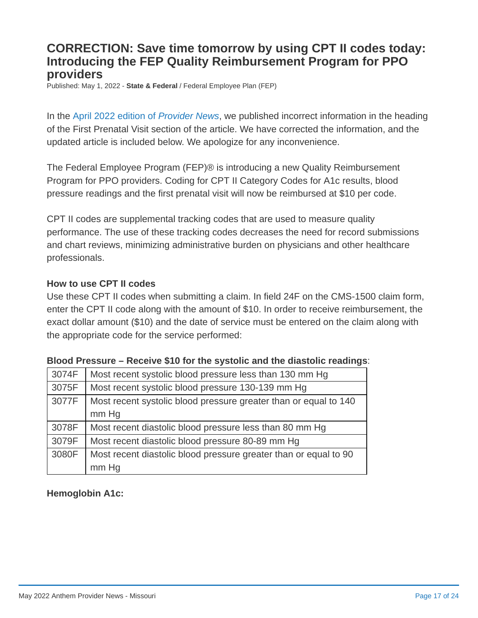### <span id="page-16-0"></span>**CORRECTION: Save time tomorrow by using CPT II codes today: Introducing the FEP Quality Reimbursement Program for PPO providers**

Published: May 1, 2022 - **State & Federal** / Federal Employee Plan (FEP)

In the [April 2022 edition of](https://providernews.anthem.com/missouri/indiana/article/save-time-by-using-cpt-ii-codes-introducing-fep-quality-reimbursement-program-for-ppo-providers-2) *Provider News*, we published incorrect information in the heading of the First Prenatal Visit section of the article. We have corrected the information, and the updated article is included below. We apologize for any inconvenience.

The Federal Employee Program (FEP)® is introducing a new Quality Reimbursement Program for PPO providers. Coding for CPT II Category Codes for A1c results, blood pressure readings and the first prenatal visit will now be reimbursed at \$10 per code.

CPT II codes are supplemental tracking codes that are used to measure quality performance. The use of these tracking codes decreases the need for record submissions and chart reviews, minimizing administrative burden on physicians and other healthcare professionals.

#### **How to use CPT II codes**

Use these CPT II codes when submitting a claim. In field 24F on the CMS-1500 claim form, enter the CPT II code along with the amount of \$10. In order to receive reimbursement, the exact dollar amount (\$10) and the date of service must be entered on the claim along with the appropriate code for the service performed:

| 3074F | Most recent systolic blood pressure less than 130 mm Hg          |
|-------|------------------------------------------------------------------|
| 3075F | Most recent systolic blood pressure 130-139 mm Hg                |
| 3077F | Most recent systolic blood pressure greater than or equal to 140 |
|       | mm Hg                                                            |
| 3078F | Most recent diastolic blood pressure less than 80 mm Hg          |
| 3079F | Most recent diastolic blood pressure 80-89 mm Hq                 |
| 3080F | Most recent diastolic blood pressure greater than or equal to 90 |
|       | mm Hq                                                            |

| Blood Pressure - Receive \$10 for the systolic and the diastolic readings: |  |
|----------------------------------------------------------------------------|--|
|----------------------------------------------------------------------------|--|

#### **Hemoglobin A1c:**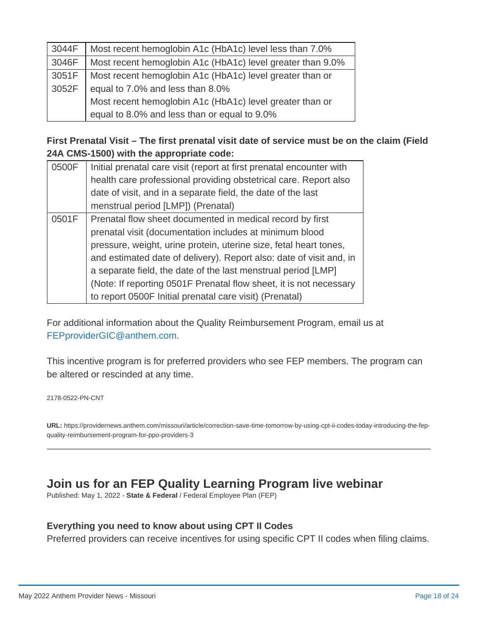| 3044F | Most recent hemoglobin A1c (HbA1c) level less than 7.0%    |
|-------|------------------------------------------------------------|
| 3046F | Most recent hemoglobin A1c (HbA1c) level greater than 9.0% |
| 3051F | Most recent hemoglobin A1c (HbA1c) level greater than or   |
| 3052F | equal to 7.0% and less than 8.0%                           |
|       | Most recent hemoglobin A1c (HbA1c) level greater than or   |
|       | equal to 8.0% and less than or equal to 9.0%               |

### **First Prenatal Visit – The first prenatal visit date of service must be on the claim (Field 24A CMS-1500) with the appropriate code:**

| 0500F | Initial prenatal care visit (report at first prenatal encounter with                                                         |  |  |
|-------|------------------------------------------------------------------------------------------------------------------------------|--|--|
|       | health care professional providing obstetrical care. Report also                                                             |  |  |
|       | date of visit, and in a separate field, the date of the last                                                                 |  |  |
|       | menstrual period [LMP]) (Prenatal)                                                                                           |  |  |
| 0501F | Prenatal flow sheet documented in medical record by first                                                                    |  |  |
|       | prenatal visit (documentation includes at minimum blood<br>pressure, weight, urine protein, uterine size, fetal heart tones, |  |  |
|       |                                                                                                                              |  |  |
|       | and estimated date of delivery). Report also: date of visit and, in                                                          |  |  |
|       | a separate field, the date of the last menstrual period [LMP]                                                                |  |  |
|       | (Note: If reporting 0501F Prenatal flow sheet, it is not necessary                                                           |  |  |
|       | to report 0500F Initial prenatal care visit) (Prenatal)                                                                      |  |  |

For additional information about the Quality Reimbursement Program, email us at [FEPproviderGIC@anthem.com](mailto:FEPproviderGIC@anthem.com).

This incentive program is for preferred providers who see FEP members. The program can be altered or rescinded at any time.

2178-0522-PN-CNT

**URL:** [https://providernews.anthem.com/missouri/article/correction-save-time-tomorrow-by-using-cpt-ii-codes-today-introducing-the-fep](https://providernews.anthem.com/missouri/article/correction-save-time-tomorrow-by-using-cpt-ii-codes-today-introducing-the-fep-quality-reimbursement-program-for-ppo-providers-3)quality-reimbursement-program-for-ppo-providers-3

### <span id="page-17-0"></span>**Join us for an FEP Quality Learning Program live webinar**

Published: May 1, 2022 - **State & Federal** / Federal Employee Plan (FEP)

### **Everything you need to know about using CPT II Codes**

Preferred providers can receive incentives for using specific CPT II codes when filing claims.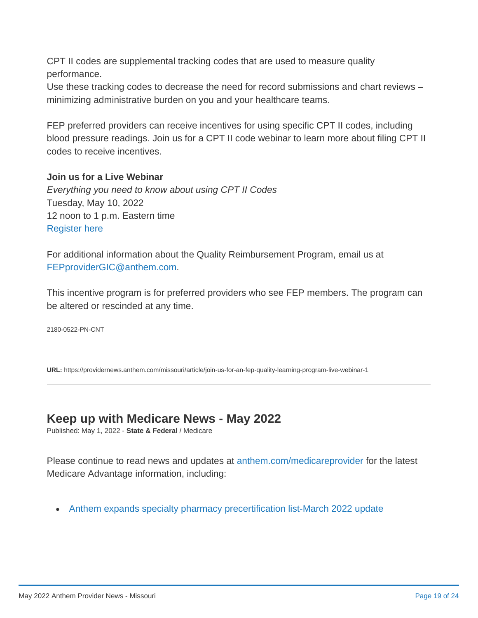CPT II codes are supplemental tracking codes that are used to measure quality performance.

Use these tracking codes to decrease the need for record submissions and chart reviews – minimizing administrative burden on you and your healthcare teams.

FEP preferred providers can receive incentives for using specific CPT II codes, including blood pressure readings. Join us for a CPT II code webinar to learn more about filing CPT II codes to receive incentives.

### **Join us for a Live Webinar**

*Everything you need to know about using CPT II Codes* Tuesday, May 10, 2022 12 noon to 1 p.m. Eastern time [Register here](https://event.on24.com/wcc/r/3733912/FD93ED74B688E0F3CDB0C273BD8A9771)

For additional information about the Quality Reimbursement Program, email us at [FEPproviderGIC@anthem.com](mailto:FEPproviderGIC@anthem.com).

This incentive program is for preferred providers who see FEP members. The program can be altered or rescinded at any time.

2180-0522-PN-CNT

**URL:** <https://providernews.anthem.com/missouri/article/join-us-for-an-fep-quality-learning-program-live-webinar-1>

### <span id="page-18-0"></span>**Keep up with Medicare News - May 2022**

Published: May 1, 2022 - **State & Federal** / Medicare

Please continue to read news and updates at [anthem.com/medicareprovider](http://www.anthem.com/medicareprovider) for the latest Medicare Advantage information, including:

• [Anthem expands specialty pharmacy precertification list-March 2022 update](https://www.anthem.com/da/inline/pdf/abscare-1413-22.pdf)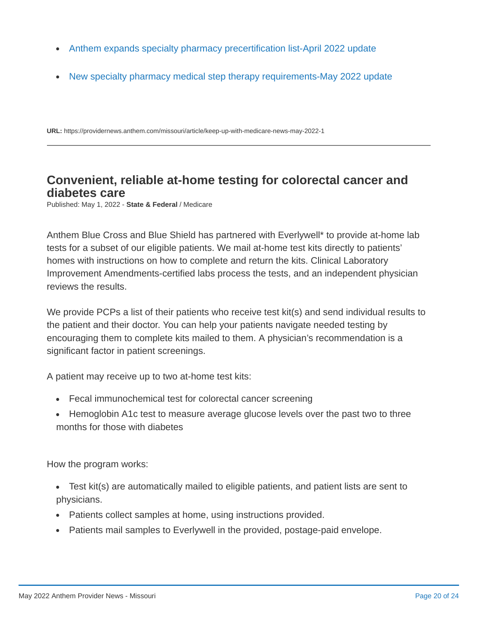- [Anthem expands specialty pharmacy precertification list-April 2022 update](https://www.anthem.com/da/inline/pdf/abscrnu-0322-22.pdf)  $\bullet$
- [New specialty pharmacy medical step therapy requirements-May 2022 update](https://www.anthem.com/da/inline/pdf/abscrnu-0323-22.pdf)  $\bullet$

**URL:** <https://providernews.anthem.com/missouri/article/keep-up-with-medicare-news-may-2022-1>

### <span id="page-19-0"></span>**Convenient, reliable at-home testing for colorectal cancer and diabetes care**

Published: May 1, 2022 - **State & Federal** / Medicare

Anthem Blue Cross and Blue Shield has partnered with Everlywell\* to provide at-home lab tests for a subset of our eligible patients. We mail at-home test kits directly to patients' homes with instructions on how to complete and return the kits. Clinical Laboratory Improvement Amendments-certified labs process the tests, and an independent physician reviews the results.

We provide PCPs a list of their patients who receive test kit(s) and send individual results to the patient and their doctor. You can help your patients navigate needed testing by encouraging them to complete kits mailed to them. A physician's recommendation is a significant factor in patient screenings.

A patient may receive up to two at-home test kits:

- Fecal immunochemical test for colorectal cancer screening
- Hemoglobin A1c test to measure average glucose levels over the past two to three months for those with diabetes

How the program works:

- Test kit(s) are automatically mailed to eligible patients, and patient lists are sent to physicians.
- Patients collect samples at home, using instructions provided.
- Patients mail samples to Everlywell in the provided, postage-paid envelope.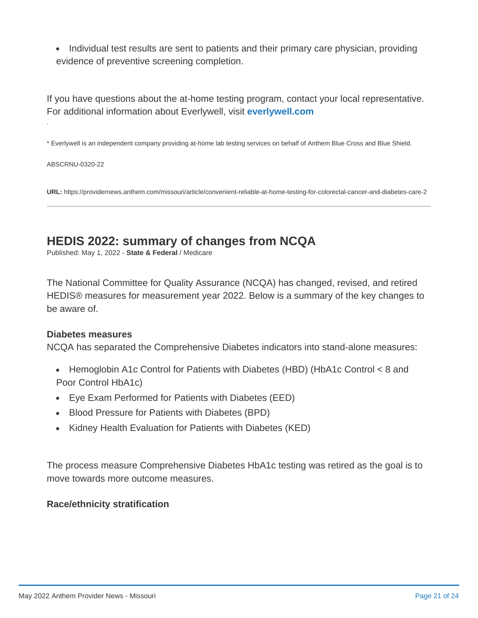• Individual test results are sent to patients and their primary care physician, providing evidence of preventive screening completion.

If you have questions about the at-home testing program, contact your local representative. For additional information about Everlywell, visit **[everlywell.com](https://www.everlywell.com/)**

\* Everlywell is an independent company providing at-home lab testing services on behalf of Anthem Blue Cross and Blue Shield.

ABSCRNU-0320-22

.

**URL:** <https://providernews.anthem.com/missouri/article/convenient-reliable-at-home-testing-for-colorectal-cancer-and-diabetes-care-2>

## <span id="page-20-0"></span>**HEDIS 2022: summary of changes from NCQA**

Published: May 1, 2022 - **State & Federal** / Medicare

The National Committee for Quality Assurance (NCQA) has changed, revised, and retired HEDIS® measures for measurement year 2022. Below is a summary of the key changes to be aware of.

#### **Diabetes measures**

NCQA has separated the Comprehensive Diabetes indicators into stand-alone measures:

- Hemoglobin A1c Control for Patients with Diabetes (HBD) (HbA1c Control < 8 and Poor Control HbA1c)
- Eye Exam Performed for Patients with Diabetes (EED)
- Blood Pressure for Patients with Diabetes (BPD)
- Kidney Health Evaluation for Patients with Diabetes (KED)

The process measure Comprehensive Diabetes HbA1c testing was retired as the goal is to move towards more outcome measures.

#### **Race/ethnicity stratification**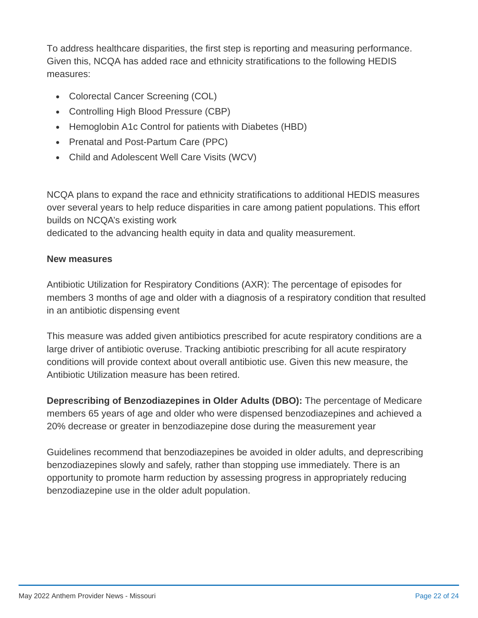To address healthcare disparities, the first step is reporting and measuring performance. Given this, NCQA has added race and ethnicity stratifications to the following HEDIS measures:

- Colorectal Cancer Screening (COL)
- Controlling High Blood Pressure (CBP)
- Hemoglobin A1c Control for patients with Diabetes (HBD)
- Prenatal and Post-Partum Care (PPC)
- Child and Adolescent Well Care Visits (WCV)

NCQA plans to expand the race and ethnicity stratifications to additional HEDIS measures over several years to help reduce disparities in care among patient populations. This effort builds on NCQA's existing work

dedicated to the advancing health equity in data and quality measurement.

#### **New measures**

Antibiotic Utilization for Respiratory Conditions (AXR): The percentage of episodes for members 3 months of age and older with a diagnosis of a respiratory condition that resulted in an antibiotic dispensing event

This measure was added given antibiotics prescribed for acute respiratory conditions are a large driver of antibiotic overuse. Tracking antibiotic prescribing for all acute respiratory conditions will provide context about overall antibiotic use. Given this new measure, the Antibiotic Utilization measure has been retired.

**Deprescribing of Benzodiazepines in Older Adults (DBO):** The percentage of Medicare members 65 years of age and older who were dispensed benzodiazepines and achieved a 20% decrease or greater in benzodiazepine dose during the measurement year

Guidelines recommend that benzodiazepines be avoided in older adults, and deprescribing benzodiazepines slowly and safely, rather than stopping use immediately. There is an opportunity to promote harm reduction by assessing progress in appropriately reducing benzodiazepine use in the older adult population.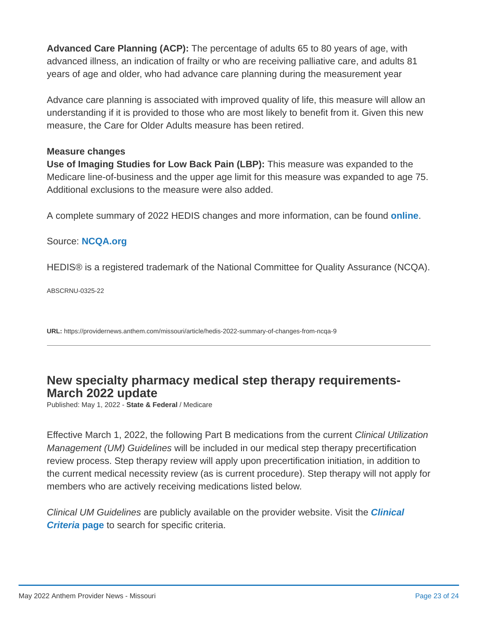**Advanced Care Planning (ACP):** The percentage of adults 65 to 80 years of age, with advanced illness, an indication of frailty or who are receiving palliative care, and adults 81 years of age and older, who had advance care planning during the measurement year

Advance care planning is associated with improved quality of life, this measure will allow an understanding if it is provided to those who are most likely to benefit from it. Given this new measure, the Care for Older Adults measure has been retired.

#### **Measure changes**

**Use of Imaging Studies for Low Back Pain (LBP):** This measure was expanded to the Medicare line-of-business and the upper age limit for this measure was expanded to age 75. Additional exclusions to the measure were also added.

A complete summary of 2022 HEDIS changes and more information, can be found **[online](https://blog.ncqa.org/hedis-2022-see-whats-new-whats-changed-and-whats-retired/)**.

#### Source: **[NCQA.org](http://ncqa.org/)**

HEDIS® is a registered trademark of the National Committee for Quality Assurance (NCQA).

ABSCRNU-0325-22

**URL:** <https://providernews.anthem.com/missouri/article/hedis-2022-summary-of-changes-from-ncqa-9>

### <span id="page-22-0"></span>**New specialty pharmacy medical step therapy requirements-March 2022 update**

Published: May 1, 2022 - **State & Federal** / Medicare

Effective March 1, 2022, the following Part B medications from the current *Clinical Utilization Management (UM) Guidelines* will be included in our medical step therapy precertification review process. Step therapy review will apply upon precertification initiation, in addition to the current medical necessity review (as is current procedure). Step therapy will not apply for members who are actively receiving medications listed below.

*Clinical UM Guidelines* [are publicly available on the provider website. Visit the](https://www.anthem.com/ms/pharmacyinformation/clinicalcriteria/home.html) *Clinical Criteria* **page** to search for specific criteria.